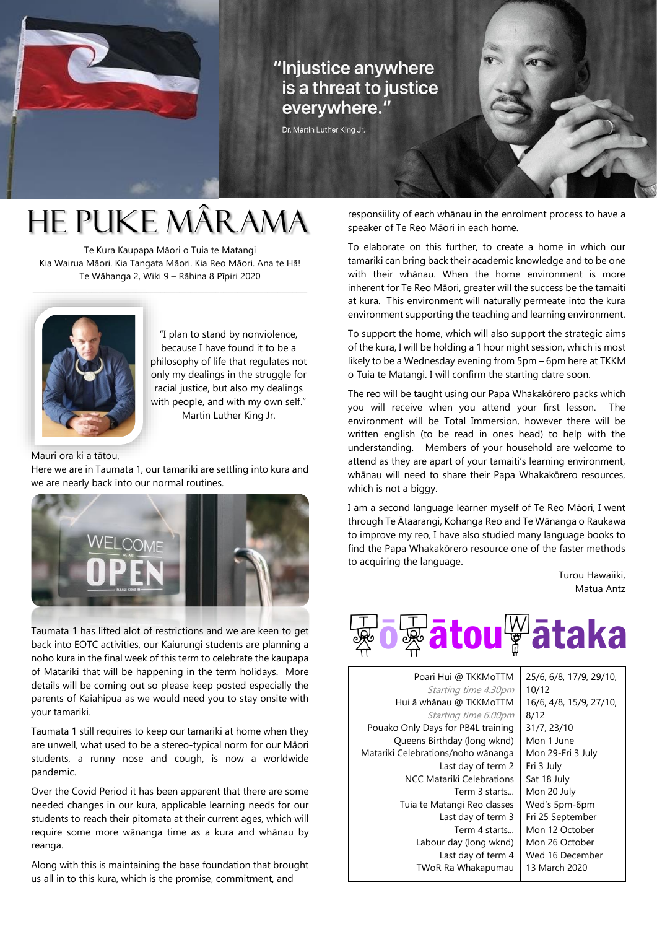

## "Injustice anywhere is a threat to justice everywhere."

Dr. Martin Luther King Jr.

# He Puke Mârama

Te Kura Kaupapa Māori o Tuia te Matangi Kia Wairua Māori. Kia Tangata Māori. Kia Reo Māori. Ana te Hā! Te Wāhanga 2, Wiki 9 – Rāhina 8 Pīpiri 2020

\_\_\_\_\_\_\_\_\_\_\_\_\_\_\_\_\_\_\_\_\_\_\_\_\_\_\_\_\_\_\_\_\_\_\_\_\_\_\_\_\_\_\_\_\_\_\_\_\_\_\_\_\_\_\_\_\_\_\_\_\_\_\_\_\_\_\_\_\_\_\_\_\_\_\_



"I plan to stand by nonviolence, because I have found it to be a philosophy of life that regulates not only my dealings in the struggle for racial justice, but also my dealings with people, and with my own self." Martin Luther King Jr.

Mauri ora ki a tātou,

Here we are in Taumata 1, our tamariki are settling into kura and we are nearly back into our normal routines.



Taumata 1 has lifted alot of restrictions and we are keen to get back into EOTC activities, our Kaiurungi students are planning a noho kura in the final week of this term to celebrate the kaupapa of Matariki that will be happening in the term holidays. More details will be coming out so please keep posted especially the parents of Kaiahipua as we would need you to stay onsite with your tamariki.

Taumata 1 still requires to keep our tamariki at home when they are unwell, what used to be a stereo-typical norm for our Māori students, a runny nose and cough, is now a worldwide pandemic.

Over the Covid Period it has been apparent that there are some needed changes in our kura, applicable learning needs for our students to reach their pitomata at their current ages, which will require some more wānanga time as a kura and whānau by reanga.

Along with this is maintaining the base foundation that brought us all in to this kura, which is the promise, commitment, and

responsiility of each whānau in the enrolment process to have a speaker of Te Reo Māori in each home.

To elaborate on this further, to create a home in which our tamariki can bring back their academic knowledge and to be one with their whānau. When the home environment is more inherent for Te Reo Māori, greater will the success be the tamaiti at kura. This environment will naturally permeate into the kura environment supporting the teaching and learning environment.

To support the home, which will also support the strategic aims of the kura, I will be holding a 1 hour night session, which is most likely to be a Wednesday evening from 5pm – 6pm here at TKKM o Tuia te Matangi. I will confirm the starting datre soon.

The reo will be taught using our Papa Whakakōrero packs which you will receive when you attend your first lesson. The environment will be Total Immersion, however there will be written english (to be read in ones head) to help with the understanding. Members of your household are welcome to attend as they are apart of your tamaiti's learning environment, whānau will need to share their Papa Whakakōrero resources, which is not a biggy.

I am a second language learner myself of Te Reo Māori, I went through Te Ātaarangi, Kohanga Reo and Te Wānanga o Raukawa to improve my reo, I have also studied many language books to find the Papa Whakakōrero resource one of the faster methods to acquiring the language.

> Turou Hawaiiki, Matua Antz



Poari Hui @ TKKMoTTM Starting time 4.30pm Hui ā whānau @ TKKMoTTM Starting time 6.00pm Pouako Only Days for PB4L training Queens Birthday (long wknd) Matariki Celebrations/noho wānanga Last day of term 2 NCC Matariki Celebrations Term 3 starts... Tuia te Matangi Reo classes Last day of term 3 Term 4 starts... Labour day (long wknd) Last day of term 4 TWoR Rā Whakapūmau 25/6, 6/8, 17/9, 29/10, 10/12 16/6, 4/8, 15/9, 27/10, 8/12 31/7, 23/10 Mon 1 June Mon 29-Fri 3 July Fri 3 July Sat 18 July Mon 20 July Wed's 5pm-6pm Fri 25 September Mon 12 October Mon 26 October Wed 16 December 13 March 2020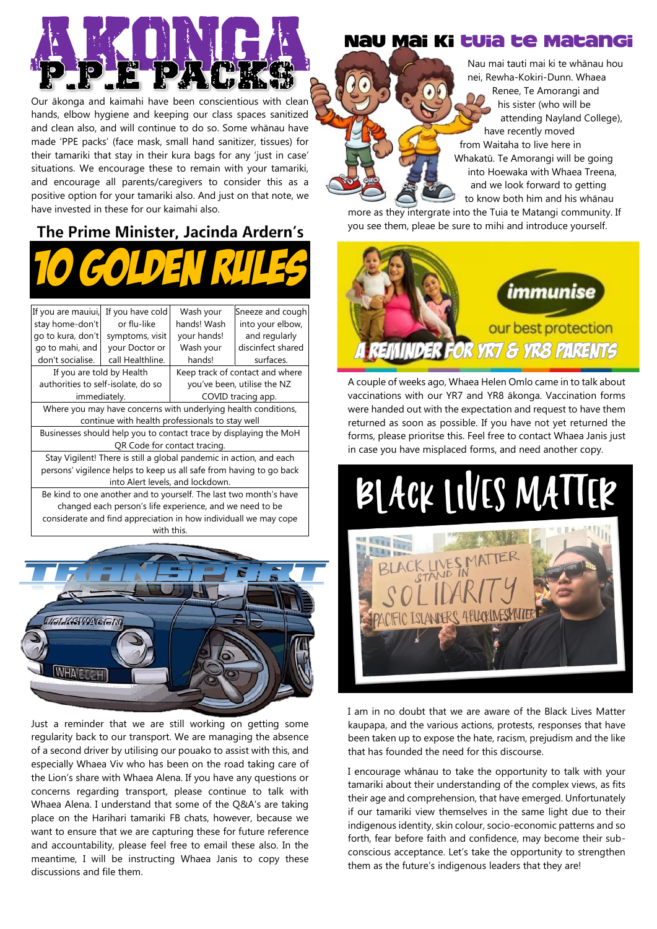

Our ākonga and kaimahi have been conscientious with clean hands, elbow hygiene and keeping our class spaces sanitized and clean also, and will continue to do so. Some whānau have made 'PPE packs' (face mask, small hand sanitizer, tissues) for their tamariki that stay in their kura bags for any 'just in case' situations. We encourage these to remain with your tamariki, and encourage all parents/caregivers to consider this as a positive option for your tamariki also. And just on that note, we have invested in these for our kaimahi also.

# The Prime Minister, Jacinda Ardern's



| If you are mauiui,                                                  | If you have cold | Wash your                       | Sneeze and cough  |
|---------------------------------------------------------------------|------------------|---------------------------------|-------------------|
| stay home-don't                                                     | or flu-like      | hands! Wash                     | into your elbow,  |
| go to kura, don't                                                   | symptoms, visit  | your hands!                     | and regularly     |
| go to mahi, and                                                     | your Doctor or   | Wash your                       | discinfect shared |
| don't socialise.                                                    | call Healthline. | hands!                          | surfaces.         |
| If you are told by Health                                           |                  | Keep track of contact and where |                   |
| authorities to self-isolate, do so                                  |                  | you've been, utilise the NZ     |                   |
| immediately.                                                        |                  | COVID tracing app.              |                   |
| Where you may have concerns with underlying health conditions,      |                  |                                 |                   |
| continue with health professionals to stay well                     |                  |                                 |                   |
| Businesses should help you to contact trace by displaying the MoH   |                  |                                 |                   |
| QR Code for contact tracing.                                        |                  |                                 |                   |
| Stay Vigilent! There is still a global pandemic in action, and each |                  |                                 |                   |
| persons' vigilence helps to keep us all safe from having to go back |                  |                                 |                   |
| into Alert levels, and lockdown.                                    |                  |                                 |                   |
| Be kind to one another and to yourself. The last two month's have   |                  |                                 |                   |
| changed each person's life experience, and we need to be            |                  |                                 |                   |
| considerate and find appreciation in how individuall we may cope    |                  |                                 |                   |



with this

Just a reminder that we are still working on getting some regularity back to our transport. We are managing the absence of a second driver by utilising our pouako to assist with this, and especially Whaea Viv who has been on the road taking care of the Lion's share with Whaea Alena. If you have any questions or concerns regarding transport, please continue to talk with Whaea Alena. I understand that some of the Q&A's are taking place on the Harihari tamariki FB chats, however, because we want to ensure that we are capturing these for future reference and accountability, please feel free to email these also. In the meantime, I will be instructing Whaea Janis to copy these discussions and file them.

#### Nau Mai ki tuia te Matangi

 Nau mai tauti mai ki te whānau hou nei, Rewha-Kokiri-Dunn. Whaea Renee, Te Amorangi and his sister (who will be attending Nayland College), have recently moved from Waitaha to live here in Whakatū. Te Amorangi will be going into Hoewaka with Whaea Treena, and we look forward to getting to know both him and his whānau

more as they intergrate into the Tuia te Matangi community. If you see them, pleae be sure to mihi and introduce yourself.



A couple of weeks ago, Whaea Helen Omlo came in to talk about vaccinations with our YR7 and YR8 ākonga. Vaccination forms were handed out with the expectation and request to have them returned as soon as possible. If you have not yet returned the forms, please prioritse this. Feel free to contact Whaea Janis just in case you have misplaced forms, and need another copy.

# BLACK LIVES MATTER



I am in no doubt that we are aware of the Black Lives Matter kaupapa, and the various actions, protests, responses that have been taken up to expose the hate, racism, prejudism and the like that has founded the need for this discourse.

I encourage whānau to take the opportunity to talk with your tamariki about their understanding of the complex views, as fits their age and comprehension, that have emerged. Unfortunately if our tamariki view themselves in the same light due to their indigenous identity, skin colour, socio-economic patterns and so forth, fear before faith and confidence, may become their subconscious acceptance. Let's take the opportunity to strengthen them as the future's indigenous leaders that they are!